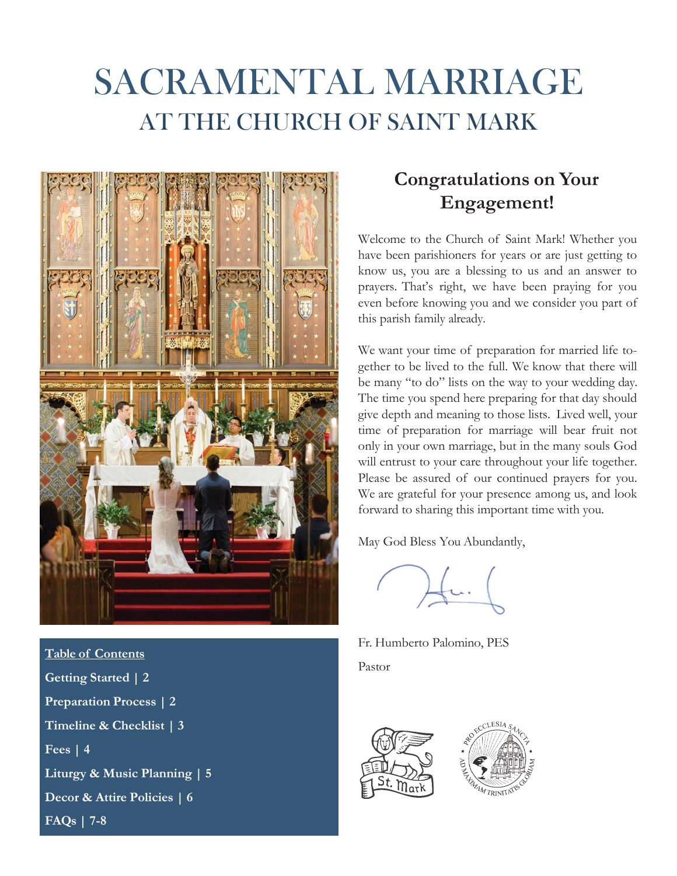# SACRAMENTAL MARRIAGE AT THE CHURCH OF SAINT MARK



**Table of Contents Getting Started | 2 Preparation Process | 2 Timeline & Checklist | 3 Fees | 4 Liturgy & Music Planning | 5 Decor & Attire Policies | 6 FAQs | 7-8**

### **Congratulations on Your Engagement!**

Welcome to the Church of Saint Mark! Whether you have been parishioners for years or are just getting to know us, you are a blessing to us and an answer to prayers. That's right, we have been praying for you even before knowing you and we consider you part of this parish family already.

We want your time of preparation for married life together to be lived to the full. We know that there will be many "to do" lists on the way to your wedding day. The time you spend here preparing for that day should give depth and meaning to those lists. Lived well, your time of preparation for marriage will bear fruit not only in your own marriage, but in the many souls God will entrust to your care throughout your life together. Please be assured of our continued prayers for you. We are grateful for your presence among us, and look forward to sharing this important time with you.

May God Bless You Abundantly,

 $f$ u.

Fr. Humberto Palomino, PES Pastor



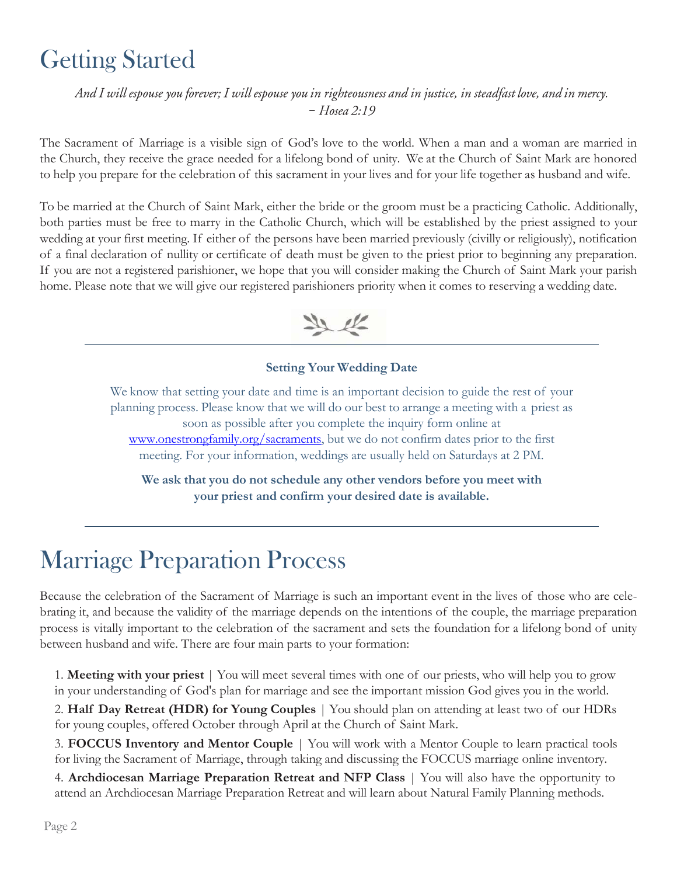### Getting Started

And I will espouse you forever; I will espouse you in righteousness and in justice, in steadfast love, and in mercy. *–*

The Sacrament of Marriage is a visible sign of God's love to the world. When a man and a woman are married in the Church, they receive the grace needed for a lifelong bond of unity. We at the Church of Saint Mark are honored to help you prepare for the celebration of this sacrament in your lives and for your life together as husband and wife.

To be married at the Church of Saint Mark, either the bride or the groom must be a practicing Catholic. Additionally, both parties must be free to marry in the Catholic Church, which will be established by the priest assigned to your wedding at your first meeting. If either of the persons have been married previously (civilly or religiously), notification of a final declaration of nullity or certificate of death must be given to the priest prior to beginning any preparation. If you are not a registered parishioner, we hope that you will consider making the Church of Saint Mark your parish home. Please note that we will give our registered parishioners priority when it comes to reserving a wedding date.



### **Setting Your Wedding Date**

We know that setting your date and time is an important decision to guide the rest of your planning process. Please know that we will do our best to arrange a meeting with a priest as soon as possible after you complete the inquiry form online at [www.onestrongfamily.org/sacraments,](http://www.onestrongfamily.org/sacraments) but we do not confirm dates prior to the first meeting. For your information, weddings are usually held on Saturdays at 2 PM.

**We ask that you do not schedule any other vendors before you meet with your priest and confirm your desired date is available.**

### Marriage Preparation Process

Because the celebration of the Sacrament of Marriage is such an important event in the lives of those who are celebrating it, and because the validity of the marriage depends on the intentions of the couple, the marriage preparation process is vitally important to the celebration of the sacrament and sets the foundation for a lifelong bond of unity between husband and wife. There are four main parts to your formation:

1. **Meeting with your priest** | You will meet several times with one of our priests, who will help you to grow in your understanding of God's plan for marriage and see the important mission God gives you in the world.

2. **Half Day Retreat (HDR) for Young Couples** | You should plan on attending at least two of our HDRs for young couples, offered October through April at the Church of Saint Mark.

3. **FOCCUS Inventory and Mentor Couple** | You will work with a Mentor Couple to learn practical tools for living the Sacrament of Marriage, through taking and discussing the FOCCUS marriage online inventory.

4. **Archdiocesan Marriage Preparation Retreat and NFP Class** | You will also have the opportunity to attend an Archdiocesan Marriage Preparation Retreat and will learn about Natural Family Planning methods.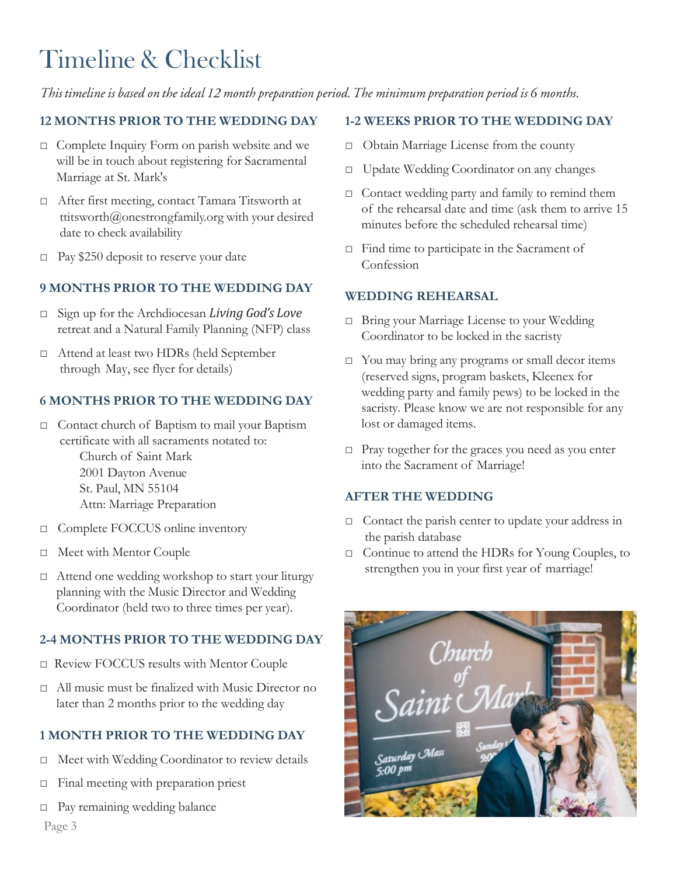### Timeline & Checklist

This timeline is based on the ideal 12 month preparation period. The minimum preparation period is 6 months.

#### **12 MONTHS PRIOR TO THE WEDDING DAY**

- □ Complete Inquiry Form on parish website and we will be in touch about registering for Sacramental Marriage at St. Mark's
- □ After first meeting, contact Tamara Titsworth at [ttitsworth@onestrongfamily.org](mailto:ttitsworth@onestrongfamily.org) with your desired date to check availability
- $\Box$  Pay \$250 deposit to reserve your date

### **9 MONTHS PRIOR TO THE WEDDING DAY**

- □ Sign up for the Archdiocesan *Living God's Love* retreat and a Natural Family Planning (NFP) class
- □ Attend at least two HDRs (held September through May, see flyer for details)

#### **6 MONTHS PRIOR TO THE WEDDING DAY**

- □ Contact church of Baptism to mail your Baptism certificate with all sacraments notated to: Church of Saint Mark 2001 Dayton Avenue St. Paul, MN 55104 Attn: Marriage Preparation
- □ Complete FOCCUS online inventory
- □ Meet with Mentor Couple
- □ Attend one wedding workshop to start your liturgy planning with the Music Director and Wedding Coordinator (held two to three times per year).

#### **2-4 MONTHS PRIOR TO THE WEDDING DAY**

- □ Review FOCCUS results with Mentor Couple
- □ All music must be finalized with Music Director no later than 2 months prior to the wedding day

### **1 MONTH PRIOR TO THE WEDDING DAY**

- □ Meet with Wedding Coordinator to review details
- □ Final meeting with preparation priest
- □ Pay remaining wedding balance

#### **1-2 WEEKS PRIOR TO THE WEDDING DAY**

- □ Obtain Marriage License from the county
- □ Update Wedding Coordinator on any changes
- □ Contact wedding party and family to remind them of the rehearsal date and time (ask them to arrive 15 minutes before the scheduled rehearsal time)
- □ Find time to participate in the Sacrament of Confession

#### **WEDDING REHEARSAL**

- □ Bring your Marriage License to your Wedding Coordinator to be locked in the sacristy
- □ You may bring any programs or small decor items (reserved signs, program baskets, Kleenex for wedding party and family pews) to be locked in the sacristy. Please know we are not responsible for any lost or damaged items.
- □ Pray together for the graces you need as you enter into the Sacrament of Marriage!

#### **AFTER THE WEDDING**

- □ Contact the parish center to update your address in the parish database
- □ Continue to attend the HDRs for Young Couples, to strengthen you in your first year of marriage!



Page 3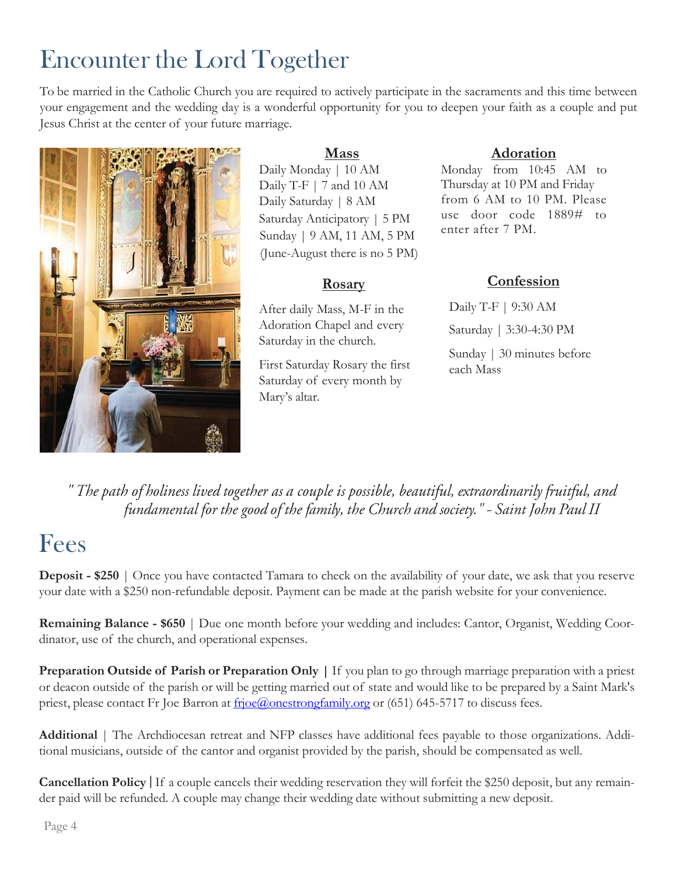## Encounter the Lord Together

To be married in the Catholic Church you are required to actively participate in the sacraments and this time between your engagement and the wedding day is a wonderful opportunity for you to deepen your faith as a couple and put Jesus Christ at the center of your future marriage.



### **Mass**

Daily Monday | 10 AM Daily T-F | 7 and 10 AM Daily Saturday | 8 AM Saturday Anticipatory | 5 PM Sunday | 9 AM, 11 AM, 5 PM (June-August there is no 5 PM)

### **Rosary**

After daily Mass, M-F in the Adoration Chapel and every Saturday in the church.

First Saturday Rosary the first Saturday of every month by Mary's altar.

### **Adoration**

Monday from 10:45 AM to Thursday at 10 PM and Friday from 6 AM to 10 PM. Please use door code 1889# to enter after 7 PM.

### **Confession**

Daily T-F | 9:30 AM Saturday | 3:30-4:30 PM Sunday | 30 minutes before each Mass

" The path of holiness lived together as a couple is possible, beautiful, extraordinarily fruitful, and fundamental for the good of the family, the Church and society." - Saint John Paul II

### Fees

**Deposit - \$250** | Once you have contacted Tamara to check on the availability of your date, we ask that you reserve your date with a \$250 non-refundable deposit. Payment can be made at the parish website for your convenience.

**Remaining Balance - \$650** | Due one month before your wedding and includes: Cantor, Organist, Wedding Coordinator, use of the church, and operational expenses.

**Preparation Outside of Parish or Preparation Only |** If you plan to go through marriage preparation with a priest or deacon outside of the parish or will be getting married out of state and would like to be prepared by a Saint Mark's priest, please contact Fr Joe Barron at [frjoe@onestrongfamily.org](mailto:frjoe@onestrongfamily.org) or (651) 645-5717 to discuss fees.

**Additional** | The Archdiocesan retreat and NFP classes have additional fees payable to those organizations. Additional musicians, outside of the cantor and organist provided by the parish, should be compensated as well.

**Cancellation Policy** If a couple cancels their wedding reservation they will forfeit the \$250 deposit, but any remainder paid will be refunded. A couple may change their wedding date without submitting a new deposit.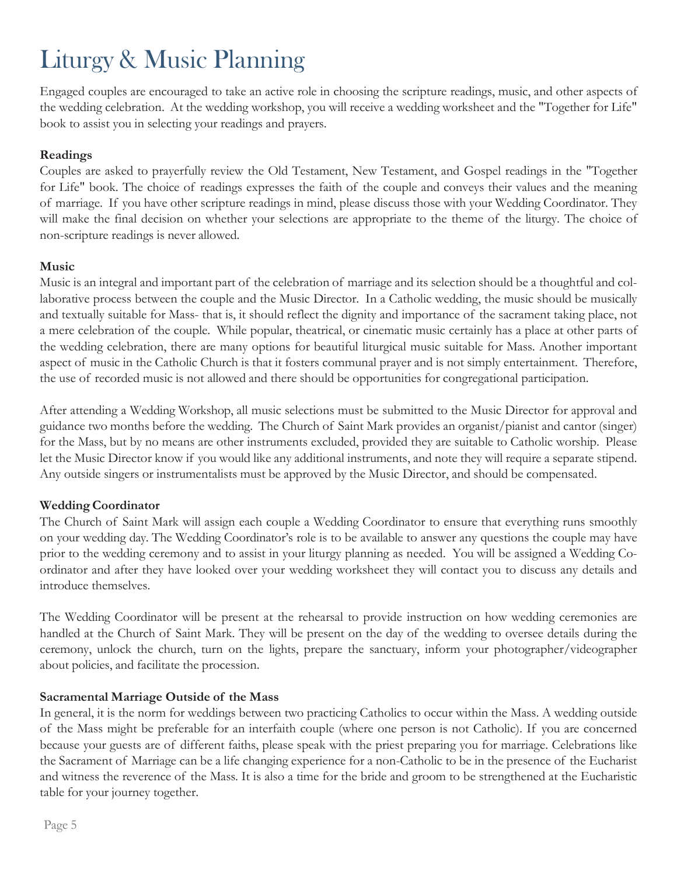### Liturgy & Music Planning

Engaged couples are encouraged to take an active role in choosing the scripture readings, music, and other aspects of the wedding celebration. At the wedding workshop, you will receive a wedding worksheet and the "Together for Life" book to assist you in selecting your readings and prayers.

### **Readings**

Couples are asked to prayerfully review the Old Testament, New Testament, and Gospel readings in the "Together for Life" book. The choice of readings expresses the faith of the couple and conveys their values and the meaning of marriage. If you have other scripture readings in mind, please discuss those with your Wedding Coordinator. They will make the final decision on whether your selections are appropriate to the theme of the liturgy. The choice of non-scripture readings is never allowed.

### **Music**

Music is an integral and important part of the celebration of marriage and its selection should be a thoughtful and collaborative process between the couple and the Music Director. In a Catholic wedding, the music should be musically and textually suitable for Mass- that is, it should reflect the dignity and importance of the sacrament taking place, not a mere celebration of the couple. While popular, theatrical, or cinematic music certainly has a place at other parts of the wedding celebration, there are many options for beautiful liturgical music suitable for Mass. Another important aspect of music in the Catholic Church is that it fosters communal prayer and is not simply entertainment. Therefore, the use of recorded music is not allowed and there should be opportunities for congregational participation.

After attending a Wedding Workshop, all music selections must be submitted to the Music Director for approval and guidance two months before the wedding. The Church of Saint Mark provides an organist/pianist and cantor (singer) for the Mass, but by no means are other instruments excluded, provided they are suitable to Catholic worship. Please let the Music Director know if you would like any additional instruments, and note they will require a separate stipend. Any outside singers or instrumentalists must be approved by the Music Director, and should be compensated.

### **WeddingCoordinator**

The Church of Saint Mark will assign each couple a Wedding Coordinator to ensure that everything runs smoothly on your wedding day. The Wedding Coordinator's role is to be available to answer any questions the couple may have prior to the wedding ceremony and to assist in your liturgy planning as needed. You will be assigned a Wedding Coordinator and after they have looked over your wedding worksheet they will contact you to discuss any details and introduce themselves.

The Wedding Coordinator will be present at the rehearsal to provide instruction on how wedding ceremonies are handled at the Church of Saint Mark. They will be present on the day of the wedding to oversee details during the ceremony, unlock the church, turn on the lights, prepare the sanctuary, inform your photographer/videographer about policies, and facilitate the procession.

### **Sacramental Marriage Outside of the Mass**

In general, it is the norm for weddings between two practicing Catholics to occur within the Mass. A wedding outside of the Mass might be preferable for an interfaith couple (where one person is not Catholic). If you are concerned because your guests are of different faiths, please speak with the priest preparing you for marriage. Celebrations like the Sacrament of Marriage can be a life changing experience for a non-Catholic to be in the presence of the Eucharist and witness the reverence of the Mass. It is also a time for the bride and groom to be strengthened at the Eucharistic table for your journey together.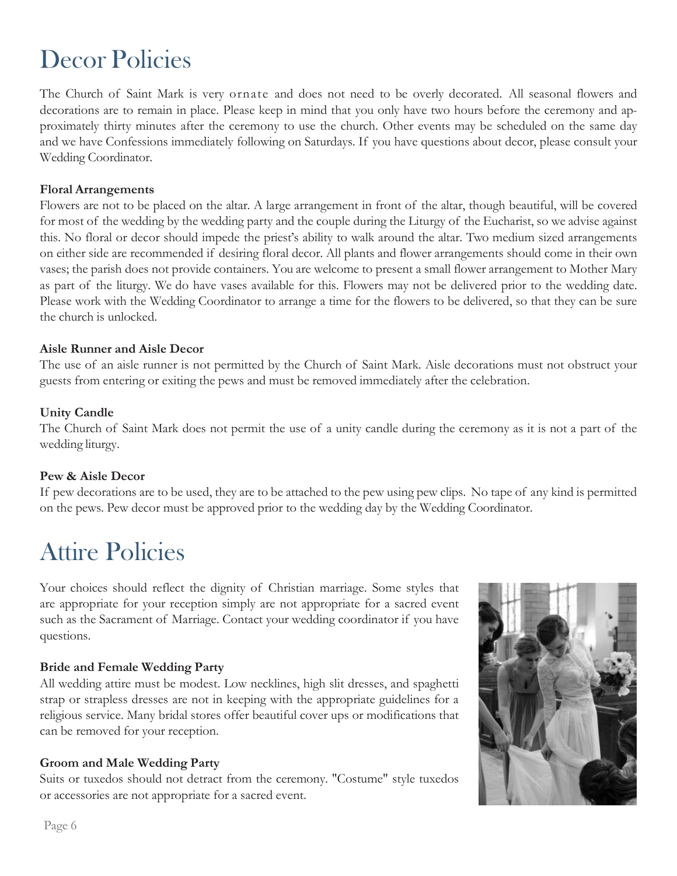### Decor Policies

The Church of Saint Mark is very ornate and does not need to be overly decorated. All seasonal flowers and decorations are to remain in place. Please keep in mind that you only have two hours before the ceremony and approximately thirty minutes after the ceremony to use the church. Other events may be scheduled on the same day and we have Confessions immediately following on Saturdays. If you have questions about decor, please consult your Wedding Coordinator.

#### **Floral Arrangements**

Flowers are not to be placed on the altar. A large arrangement in front of the altar, though beautiful, will be covered for most of the wedding by the wedding party and the couple during the Liturgy of the Eucharist, so we advise against this. No floral or decor should impede the priest's ability to walk around the altar. Two medium sized arrangements on either side are recommended if desiring floral decor. All plants and flower arrangements should come in their own vases; the parish does not provide containers. You are welcome to present a small flower arrangement to Mother Mary as part of the liturgy. We do have vases available for this. Flowers may not be delivered prior to the wedding date. Please work with the Wedding Coordinator to arrange a time for the flowers to be delivered, so that they can be sure the church is unlocked.

#### **Aisle Runner and Aisle Decor**

The use of an aisle runner is not permitted by the Church of Saint Mark. Aisle decorations must not obstruct your guests from entering or exiting the pews and must be removed immediately after the celebration.

#### **Unity Candle**

The Church of Saint Mark does not permit the use of a unity candle during the ceremony as it is not a part of the wedding liturgy.

### **Pew & Aisle Decor**

If pew decorations are to be used, they are to be attached to the pew using pew clips. No tape of any kind is permitted on the pews. Pew decor must be approved prior to the wedding day by the Wedding Coordinator.

### Attire Policies

Your choices should reflect the dignity of Christian marriage. Some styles that are appropriate for your reception simply are not appropriate for a sacred event such as the Sacrament of Marriage. Contact your wedding coordinator if you have questions.

### **Bride and Female Wedding Party**

All wedding attire must be modest. Low necklines, high slit dresses, and spaghetti strap or strapless dresses are not in keeping with the appropriate guidelines for a religious service. Many bridal stores offer beautiful cover ups or modifications that can be removed for your reception.

### **Groom and Male Wedding Party**

Suits or tuxedos should not detract from the ceremony. "Costume" style tuxedos or accessories are not appropriate for a sacred event.

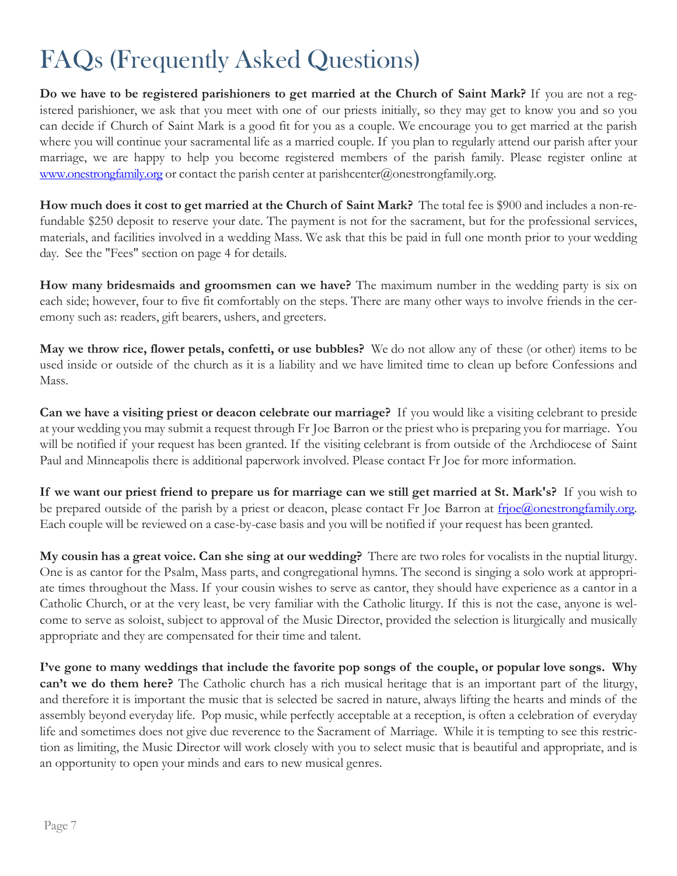### FAQs (Frequently Asked Questions)

**Do we have to be registered parishioners to get married at the Church of Saint Mark?** If you are not a registered parishioner, we ask that you meet with one of our priests initially, so they may get to know you and so you can decide if Church of Saint Mark is a good fit for you as a couple. We encourage you to get married at the parish where you will continue your sacramental life as a married couple. If you plan to regularly attend our parish after your marriage, we are happy to help you become registered members of the parish family. Please register online at [www.onestrongfamily.org](http://www.onestrongfamily.org/) or contact the parish center at [parishcenter@onestrongfamily.org.](mailto:parishcenter@onestrongfamily.org)

**How much does it cost to get married at the Church of Saint Mark?** The total fee is \$900 and includes a non-refundable \$250 deposit to reserve your date. The payment is not for the sacrament, but for the professional services, materials, and facilities involved in a wedding Mass. We ask that this be paid in full one month prior to your wedding day. See the "Fees" section on page 4 for details.

**How many bridesmaids and groomsmen can we have?** The maximum number in the wedding party is six on each side; however, four to five fit comfortably on the steps. There are many other ways to involve friends in the ceremony such as: readers, gift bearers, ushers, and greeters.

**May we throw rice, flower petals, confetti, or use bubbles?** We do not allow any of these (or other) items to be used inside or outside of the church as it is a liability and we have limited time to clean up before Confessions and Mass.

**Can we have a visiting priest or deacon celebrate our marriage?** If you would like a visiting celebrant to preside at your wedding you may submit a request through Fr Joe Barron or the priest who is preparing you for marriage. You will be notified if your request has been granted. If the visiting celebrant is from outside of the Archdiocese of Saint Paul and Minneapolis there is additional paperwork involved. Please contact Fr Joe for more information.

If we want our priest friend to prepare us for marriage can we still get married at St. Mark's? If you wish to be prepared outside of the parish by a priest or deacon, please contact Fr Joe Barron at [frjoe@onestrongfamily.org.](mailto:frjoe@onestrongfamily.org) Each couple will be reviewed on a case-by-case basis and you will be notified if your request has been granted.

**My cousin has a great voice. Can she sing at our wedding?** There are two roles for vocalists in the nuptial liturgy. One is as cantor for the Psalm, Mass parts, and congregational hymns. The second is singing a solo work at appropriate times throughout the Mass. If your cousin wishes to serve as cantor, they should have experience as a cantor in a Catholic Church, or at the very least, be very familiar with the Catholic liturgy. If this is not the case, anyone is welcome to serve as soloist, subject to approval of the Music Director, provided the selection is liturgically and musically appropriate and they are compensated for their time and talent.

**I've gone to many weddings that include the favorite pop songs of the couple, or popular love songs. Why can't we do them here?** The Catholic church has a rich musical heritage that is an important part of the liturgy, and therefore it is important the music that is selected be sacred in nature, always lifting the hearts and minds of the assembly beyond everyday life. Pop music, while perfectly acceptable at a reception, is often a celebration of everyday life and sometimes does not give due reverence to the Sacrament of Marriage. While it is tempting to see this restriction as limiting, the Music Director will work closely with you to select music that is beautiful and appropriate, and is an opportunity to open your minds and ears to new musical genres.